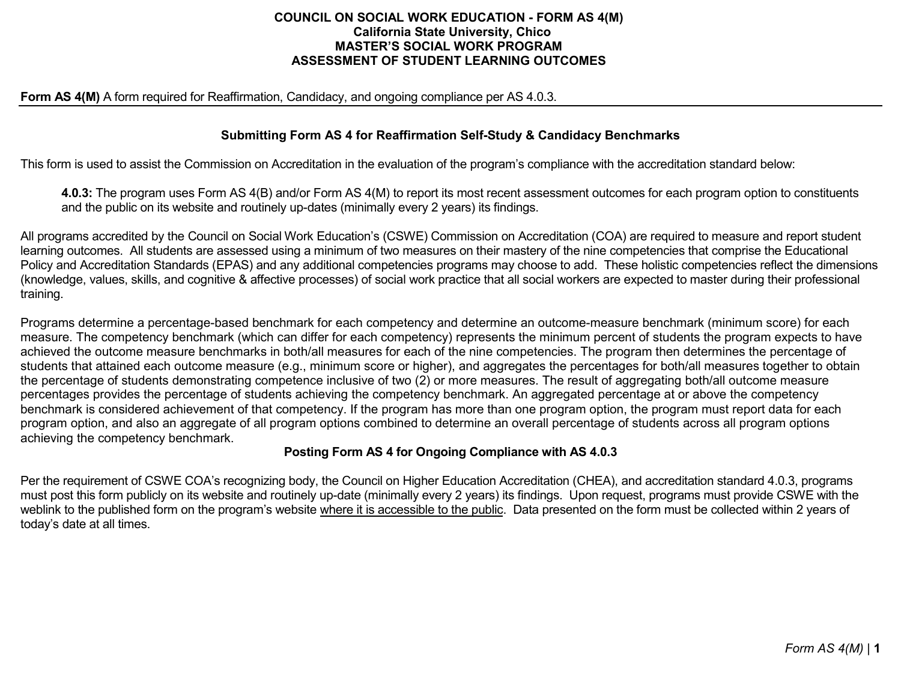#### **COUNCIL ON SOCIAL WORK EDUCATION - FORM AS 4(M) California State University, Chico MASTER'S SOCIAL WORK PROGRAM ASSESSMENT OF STUDENT LEARNING OUTCOMES**

#### **Form AS 4(M)** A form required for Reaffirmation, Candidacy, and ongoing compliance per AS 4.0.3.

### **Submitting Form AS 4 for Reaffirmation Self-Study & Candidacy Benchmarks**

This form is used to assist the Commission on Accreditation in the evaluation of the program's compliance with the accreditation standard below:

**4.0.3:** The program uses Form AS 4(B) and/or Form AS 4(M) to report its most recent assessment outcomes for each program option to constituents and the public on its website and routinely up-dates (minimally every 2 years) its findings.

All programs accredited by the Council on Social Work Education's (CSWE) Commission on Accreditation (COA) are required to measure and report student learning outcomes. All students are assessed using a minimum of two measures on their mastery of the nine competencies that comprise the Educational Policy and Accreditation Standards (EPAS) and any additional competencies programs may choose to add. These holistic competencies reflect the dimensions (knowledge, values, skills, and cognitive & affective processes) of social work practice that all social workers are expected to master during their professional training.

Programs determine a percentage-based benchmark for each competency and determine an outcome-measure benchmark (minimum score) for each measure. The competency benchmark (which can differ for each competency) represents the minimum percent of students the program expects to have achieved the outcome measure benchmarks in both/all measures for each of the nine competencies. The program then determines the percentage of students that attained each outcome measure (e.g., minimum score or higher), and aggregates the percentages for both/all measures together to obtain the percentage of students demonstrating competence inclusive of two (2) or more measures. The result of aggregating both/all outcome measure percentages provides the percentage of students achieving the competency benchmark. An aggregated percentage at or above the competency benchmark is considered achievement of that competency. If the program has more than one program option, the program must report data for each program option, and also an aggregate of all program options combined to determine an overall percentage of students across all program options achieving the competency benchmark.

#### **Posting Form AS 4 for Ongoing Compliance with AS 4.0.3**

Per the requirement of CSWE COA's recognizing body, the Council on Higher Education Accreditation (CHEA), and accreditation standard 4.0.3, programs must post this form publicly on its website and routinely up-date (minimally every 2 years) its findings. Upon request, programs must provide CSWE with the weblink to the published form on the program's website where it is accessible to the public. Data presented on the form must be collected within 2 years of today's date at all times.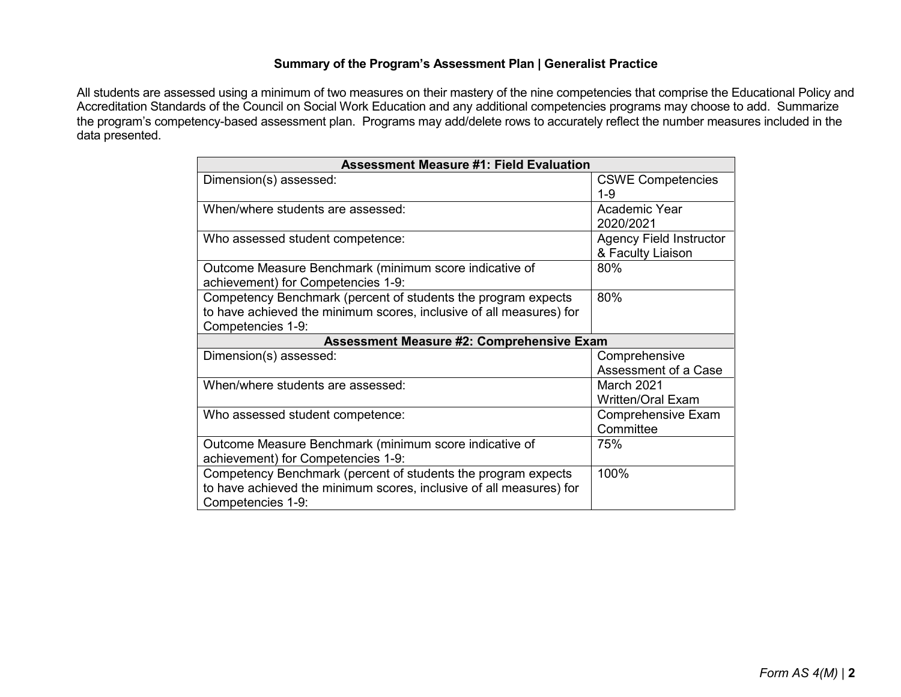### **Summary of the Program's Assessment Plan | Generalist Practice**

All students are assessed using a minimum of two measures on their mastery of the nine competencies that comprise the Educational Policy and Accreditation Standards of the Council on Social Work Education and any additional competencies programs may choose to add. Summarize the program's competency-based assessment plan. Programs may add/delete rows to accurately reflect the number measures included in the data presented.

| <b>Assessment Measure #1: Field Evaluation</b>                      |                                |  |  |
|---------------------------------------------------------------------|--------------------------------|--|--|
| Dimension(s) assessed:                                              | <b>CSWE Competencies</b>       |  |  |
|                                                                     | $1 - 9$                        |  |  |
| When/where students are assessed:                                   | Academic Year                  |  |  |
|                                                                     | 2020/2021                      |  |  |
| Who assessed student competence:                                    | <b>Agency Field Instructor</b> |  |  |
|                                                                     | & Faculty Liaison              |  |  |
| Outcome Measure Benchmark (minimum score indicative of              | 80%                            |  |  |
| achievement) for Competencies 1-9:                                  |                                |  |  |
| Competency Benchmark (percent of students the program expects       | 80%                            |  |  |
| to have achieved the minimum scores, inclusive of all measures) for |                                |  |  |
| Competencies 1-9:                                                   |                                |  |  |
| <b>Assessment Measure #2: Comprehensive Exam</b>                    |                                |  |  |
|                                                                     |                                |  |  |
| Dimension(s) assessed:                                              | Comprehensive                  |  |  |
|                                                                     | Assessment of a Case           |  |  |
| When/where students are assessed:                                   | <b>March 2021</b>              |  |  |
|                                                                     | <b>Written/Oral Exam</b>       |  |  |
| Who assessed student competence:                                    | <b>Comprehensive Exam</b>      |  |  |
|                                                                     | Committee                      |  |  |
| Outcome Measure Benchmark (minimum score indicative of              | 75%                            |  |  |
| achievement) for Competencies 1-9:                                  |                                |  |  |
| Competency Benchmark (percent of students the program expects       | 100%                           |  |  |
| to have achieved the minimum scores, inclusive of all measures) for |                                |  |  |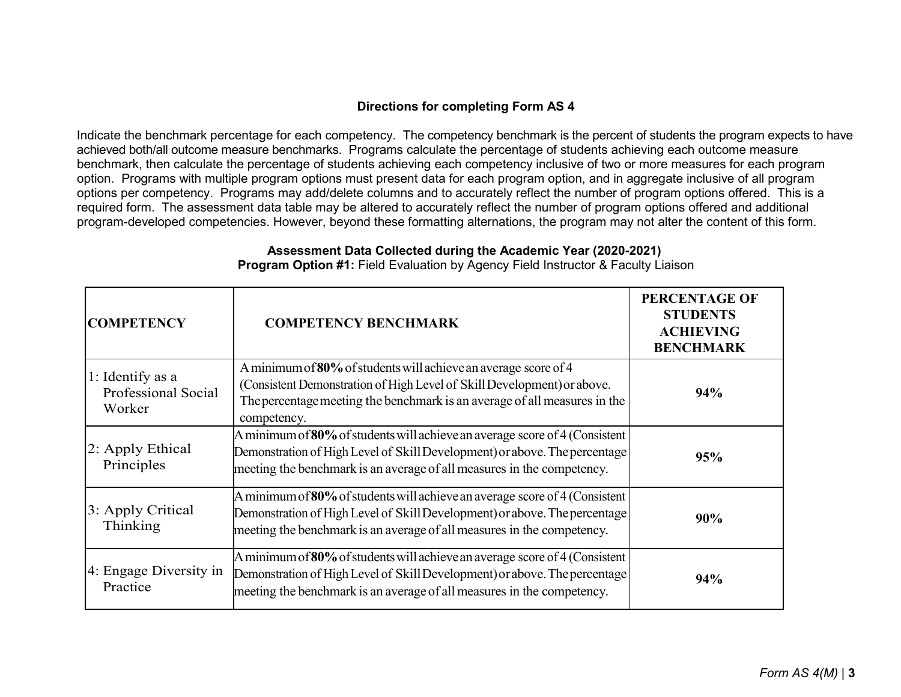# **Directions for completing Form AS 4**

Indicate the benchmark percentage for each competency. The competency benchmark is the percent of students the program expects to have achieved both/all outcome measure benchmarks. Programs calculate the percentage of students achieving each outcome measure benchmark, then calculate the percentage of students achieving each competency inclusive of two or more measures for each program option. Programs with multiple program options must present data for each program option, and in aggregate inclusive of all program options per competency. Programs may add/delete columns and to accurately reflect the number of program options offered. This is a required form. The assessment data table may be altered to accurately reflect the number of program options offered and additional program-developed competencies. However, beyond these formatting alternations, the program may not alter the content of this form.

| <b>COMPETENCY</b>                                 | <b>COMPETENCY BENCHMARK</b>                                                                                                                                                                                                            | PERCENTAGE OF<br><b>STUDENTS</b><br><b>ACHIEVING</b><br><b>BENCHMARK</b> |
|---------------------------------------------------|----------------------------------------------------------------------------------------------------------------------------------------------------------------------------------------------------------------------------------------|--------------------------------------------------------------------------|
| 1: Identify as a<br>Professional Social<br>Worker | A minimum of 80% of students will achieve an average score of 4<br>(Consistent Demonstration of High Level of Skill Development) or above.<br>The percentage meeting the benchmark is an average of all measures in the<br>competency. | 94%                                                                      |
| 2: Apply Ethical<br>Principles                    | A minimum of 80% of students will achieve an average score of 4 (Consistent<br>Demonstration of High Level of Skill Development) or above. The percentage<br>meeting the benchmark is an average of all measures in the competency.    | 95%                                                                      |
| 3: Apply Critical<br>Thinking                     | A minimum of 80% of students will achieve an average score of 4 (Consistent<br>Demonstration of High Level of Skill Development) or above. The percentage<br>meeting the benchmark is an average of all measures in the competency.    | 90%                                                                      |
| 4: Engage Diversity in<br>Practice                | A minimum of 80% of students will achieve an average score of 4 (Consistent<br>Demonstration of High Level of Skill Development) or above. The percentage<br>meeting the benchmark is an average of all measures in the competency.    | 94%                                                                      |

# **Assessment Data Collected during the Academic Year (2020-2021)**

**Program Option #1:** Field Evaluation by Agency Field Instructor & Faculty Liaison